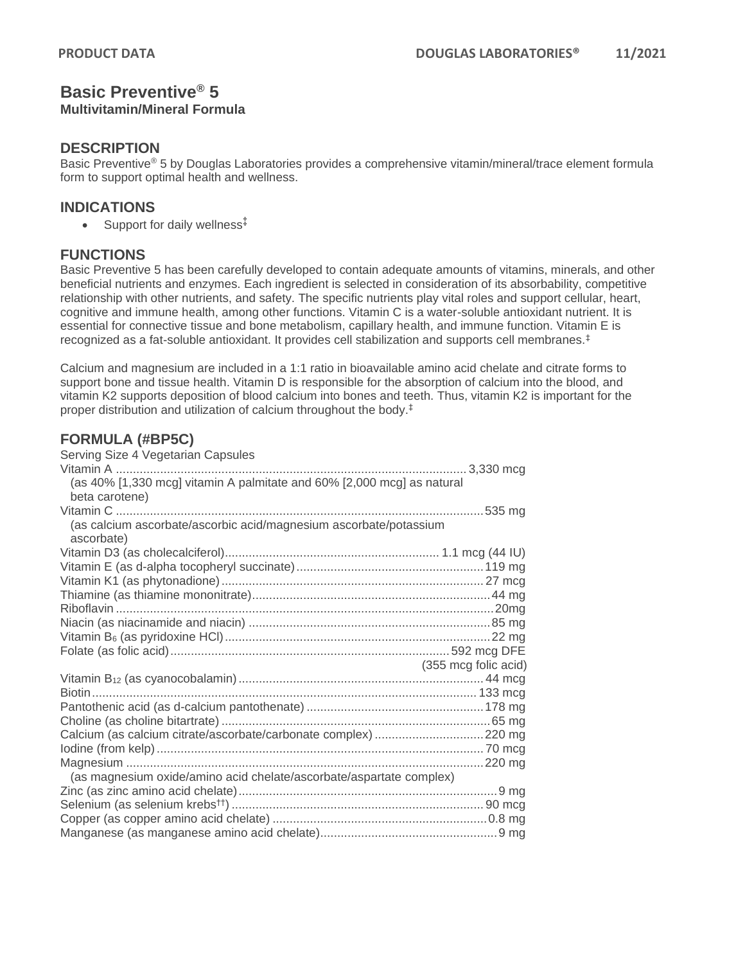## **Basic Preventive® 5 Multivitamin/Mineral Formula**

#### **DESCRIPTION**

Basic Preventive<sup>®</sup> 5 by Douglas Laboratories provides a comprehensive vitamin/mineral/trace element formula form to support optimal health and wellness.

## **INDICATIONS**

• Support for daily wellness<sup>‡</sup>

## **FUNCTIONS**

Basic Preventive 5 has been carefully developed to contain adequate amounts of vitamins, minerals, and other beneficial nutrients and enzymes. Each ingredient is selected in consideration of its absorbability, competitive relationship with other nutrients, and safety. The specific nutrients play vital roles and support cellular, heart, cognitive and immune health, among other functions. Vitamin C is a water-soluble antioxidant nutrient. It is essential for connective tissue and bone metabolism, capillary health, and immune function. Vitamin E is recognized as a fat-soluble antioxidant. It provides cell stabilization and supports cell membranes.‡

Calcium and magnesium are included in a 1:1 ratio in bioavailable amino acid chelate and citrate forms to support bone and tissue health. Vitamin D is responsible for the absorption of calcium into the blood, and vitamin K2 supports deposition of blood calcium into bones and teeth. Thus, vitamin K2 is important for the proper distribution and utilization of calcium throughout the body.‡

## **FORMULA (#BP5C)**

| Serving Size 4 Vegetarian Capsules                                              |                      |
|---------------------------------------------------------------------------------|----------------------|
|                                                                                 |                      |
| (as 40% [1,330 mcg] vitamin A palmitate and 60% [2,000 mcg] as natural          |                      |
| beta carotene)                                                                  |                      |
|                                                                                 |                      |
| (as calcium ascorbate/ascorbic acid/magnesium ascorbate/potassium<br>ascorbate) |                      |
|                                                                                 |                      |
|                                                                                 |                      |
|                                                                                 |                      |
|                                                                                 |                      |
|                                                                                 |                      |
|                                                                                 |                      |
|                                                                                 |                      |
|                                                                                 |                      |
|                                                                                 | (355 mcg folic acid) |
|                                                                                 |                      |
|                                                                                 |                      |
|                                                                                 |                      |
|                                                                                 |                      |
| Calcium (as calcium citrate/ascorbate/carbonate complex) 220 mg                 |                      |
|                                                                                 |                      |
|                                                                                 |                      |
| (as magnesium oxide/amino acid chelate/ascorbate/aspartate complex)             |                      |
|                                                                                 |                      |
|                                                                                 |                      |
|                                                                                 |                      |
|                                                                                 |                      |
|                                                                                 |                      |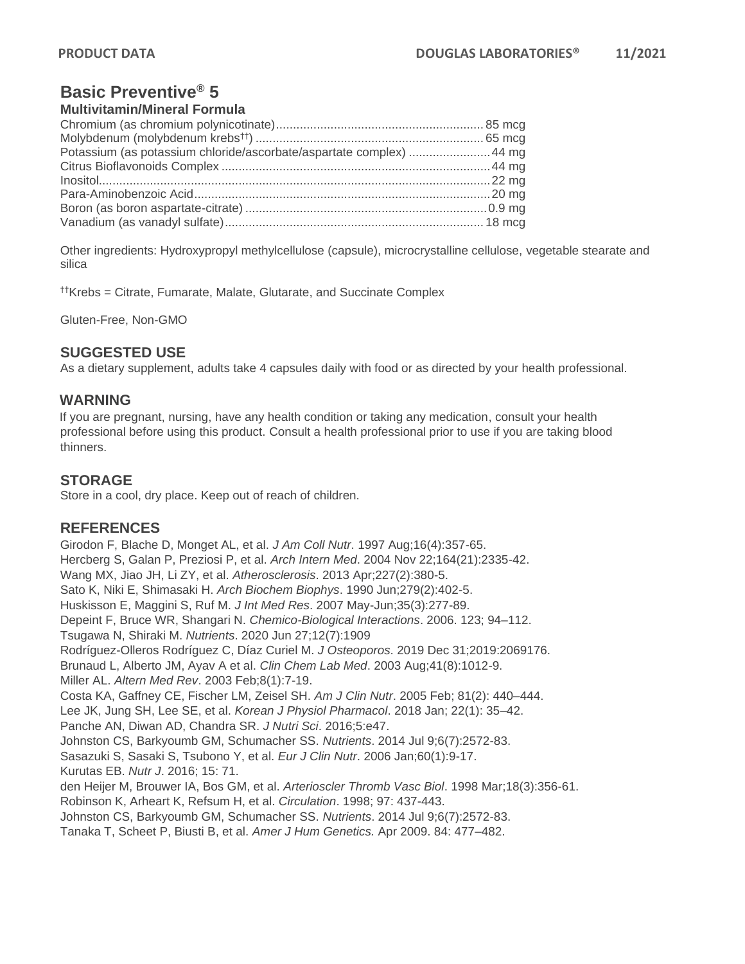# **Basic Preventive® 5**

#### **Multivitamin/Mineral Formula**

| Potassium (as potassium chloride/ascorbate/aspartate complex)  44 mg |  |
|----------------------------------------------------------------------|--|
|                                                                      |  |
|                                                                      |  |
|                                                                      |  |
|                                                                      |  |
|                                                                      |  |

Other ingredients: Hydroxypropyl methylcellulose (capsule), microcrystalline cellulose, vegetable stearate and silica

††Krebs = Citrate, Fumarate, Malate, Glutarate, and Succinate Complex

Gluten-Free, Non-GMO

## **SUGGESTED USE**

As a dietary supplement, adults take 4 capsules daily with food or as directed by your health professional.

#### **WARNING**

If you are pregnant, nursing, have any health condition or taking any medication, consult your health professional before using this product. Consult a health professional prior to use if you are taking blood thinners.

## **STORAGE**

Store in a cool, dry place. Keep out of reach of children.

#### **REFERENCES**

Girodon F, Blache D, Monget AL, et al. *J Am Coll Nutr*. 1997 Aug;16(4):357-65. Hercberg S, Galan P, Preziosi P, et al. *Arch Intern Med*. 2004 Nov 22;164(21):2335-42. Wang MX, Jiao JH, Li ZY, et al. *Atherosclerosis*. 2013 Apr;227(2):380-5. Sato K, Niki E, Shimasaki H. *Arch Biochem Biophys*. 1990 Jun;279(2):402-5. Huskisson E, Maggini S, Ruf M. *J Int Med Res*. 2007 May-Jun;35(3):277-89. Depeint F, Bruce WR, Shangari N. *Chemico-Biological Interactions*. 2006. 123; 94–112. Tsugawa N, Shiraki M. *Nutrients*. 2020 Jun 27;12(7):1909 Rodríguez-Olleros Rodríguez C, Díaz Curiel M. *J Osteoporos*. 2019 Dec 31;2019:2069176. Brunaud L, Alberto JM, Ayav A et al. *Clin Chem Lab Med*. 2003 Aug;41(8):1012-9. Miller AL. *Altern Med Rev*. 2003 Feb;8(1):7-19. Costa KA, Gaffney CE, Fischer LM, Zeisel SH. *Am J Clin Nutr*. 2005 Feb; 81(2): 440–444. Lee JK, Jung SH, Lee SE, et al. *Korean J Physiol Pharmacol*. 2018 Jan; 22(1): 35–42. Panche AN, Diwan AD, Chandra SR. *J Nutri Sci*. 2016;5:e47. Johnston CS, Barkyoumb GM, Schumacher SS. *Nutrients*. 2014 Jul 9;6(7):2572-83. Sasazuki S, Sasaki S, Tsubono Y, et al. *Eur J Clin Nutr*. 2006 Jan;60(1):9-17. Kurutas EB. *Nutr J*. 2016; 15: 71. den Heijer M, Brouwer IA, Bos GM, et al. *Arterioscler Thromb Vasc Biol*. 1998 Mar;18(3):356-61. Robinson K, Arheart K, Refsum H, et al. *Circulation*. 1998; 97: 437-443. Johnston CS, Barkyoumb GM, Schumacher SS. *Nutrients*. 2014 Jul 9;6(7):2572-83. Tanaka T, Scheet P, Biusti B, et al. *Amer J Hum Genetics.* Apr 2009. 84: 477–482.